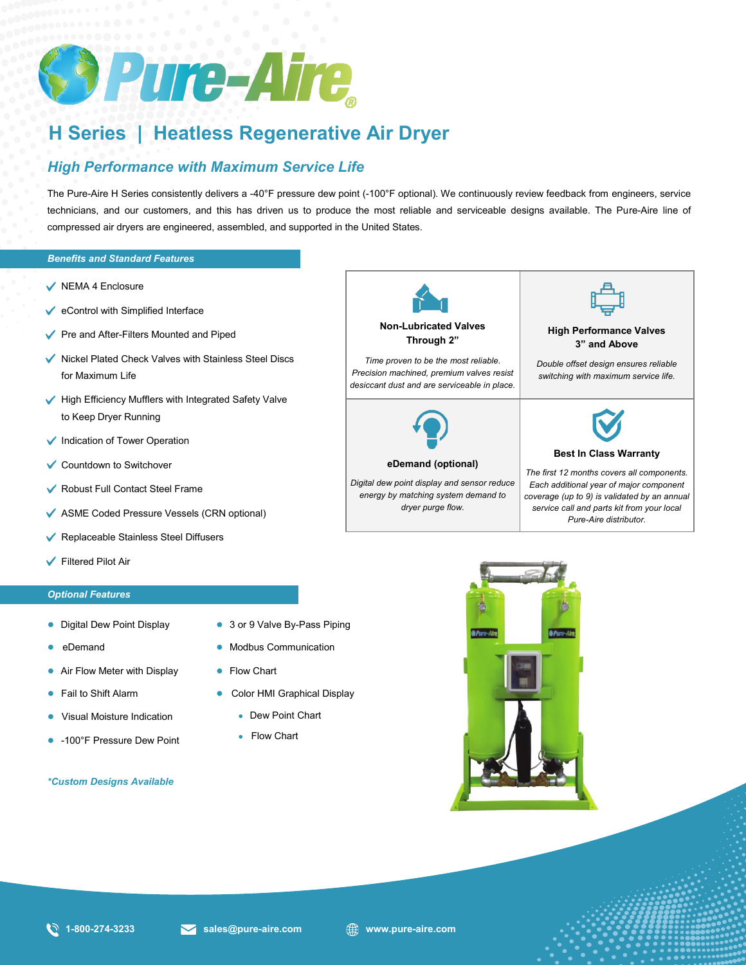

# **H Series | Heatless Regenerative Air Dryer**

# *High Performance with Maximum Service Life*

The Pure-Aire H Series consistently delivers a -40°F pressure dew point (-100°F optional). We continuously review feedback from engineers, service technicians, and our customers, and this has driven us to produce the most reliable and serviceable designs available. The Pure-Aire line of compressed air dryers are engineered, assembled, and supported in the United States.

## *Benefits and Standard Features*

- $\checkmark$  NEMA 4 Enclosure
- $\checkmark$  eControl with Simplified Interface
- Pre and After-Filters Mounted and Piped
- $\blacktriangleright$  Nickel Plated Check Valves with Stainless Steel Discs for Maximum Life
- $\blacktriangleright$  High Efficiency Mufflers with Integrated Safety Valve to Keep Dryer Running
- Indication of Tower Operation
- **✓ Countdown to Switchover**
- Robust Full Contact Steel Frame
- *Additional Features*  ASME Coded Pressure Vessels (CRN optional)
- Replaceable Stainless Steel Diffusers
- Filtered Pilot Air

## *Optional Features*

- Digital Dew Point Display
- eDemand
- Air Flow Meter with Display
- **Fail to Shift Alarm**
- Visual Moisture Indication
- -100°F Pressure Dew Point

## *\*Custom Designs Available*

- 3 or 9 Valve By-Pass Piping
- **Modbus Communication**
- Flow Chart
- Color HMI Graphical Display
	- Dew Point Chart
	- Flow Chart